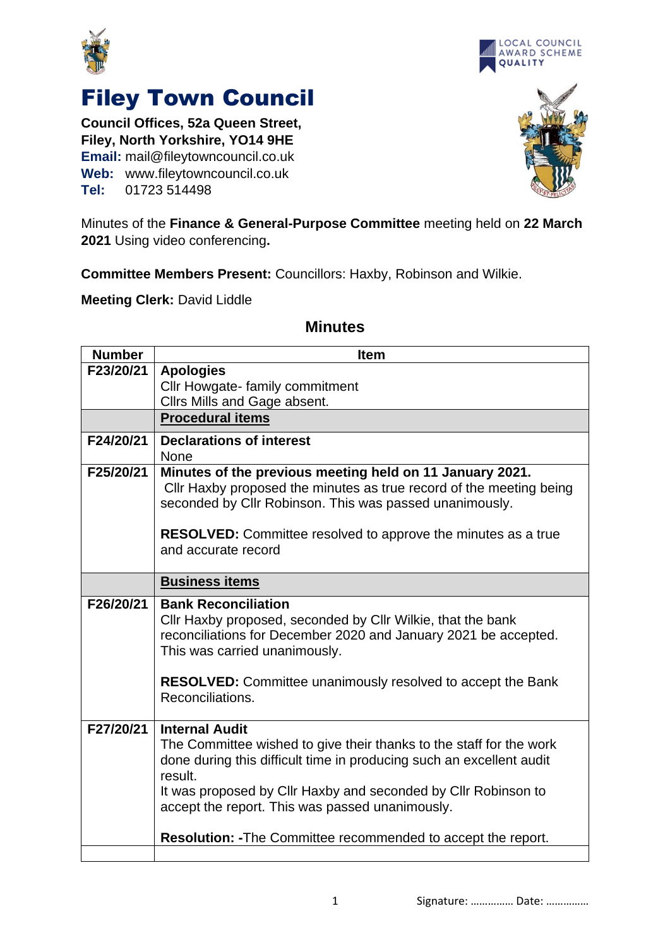



## Filey Town Council

**Council Offices, 52a Queen Street, Filey, North Yorkshire, YO14 9HE Email:** mail@fileytowncouncil.co.uk **Web:** www.fileytowncouncil.co.uk **Tel:** 01723 514498



Minutes of the **Finance & General-Purpose Committee** meeting held on **22 March 2021** Using video conferencing**.**

**Committee Members Present:** Councillors: Haxby, Robinson and Wilkie.

**Meeting Clerk:** David Liddle

## **Number Item F23/20/21 Apologies** Cllr Howgate- family commitment Cllrs Mills and Gage absent. **Procedural items F24/20/21 Declarations of interest** None **F25/20/21 Minutes of the previous meeting held on 11 January 2021.** Cllr Haxby proposed the minutes as true record of the meeting being seconded by Cllr Robinson. This was passed unanimously. **RESOLVED:** Committee resolved to approve the minutes as a true and accurate record **Business items F26/20/21 Bank Reconciliation** Cllr Haxby proposed, seconded by Cllr Wilkie, that the bank reconciliations for December 2020 and January 2021 be accepted. This was carried unanimously. **RESOLVED:** Committee unanimously resolved to accept the Bank Reconciliations. **F27/20/21 Internal Audit** The Committee wished to give their thanks to the staff for the work done during this difficult time in producing such an excellent audit result. It was proposed by Cllr Haxby and seconded by Cllr Robinson to accept the report. This was passed unanimously. **Resolution: -**The Committee recommended to accept the report.

## **Minutes**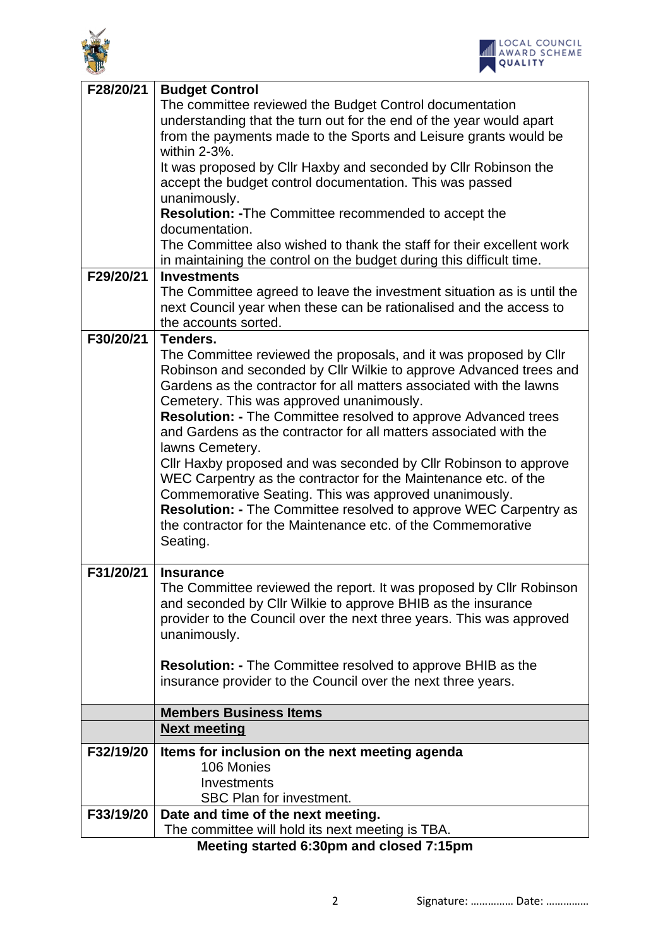



| F28/20/21                                | <b>Budget Control</b>                                                                                                                   |
|------------------------------------------|-----------------------------------------------------------------------------------------------------------------------------------------|
|                                          | The committee reviewed the Budget Control documentation                                                                                 |
|                                          | understanding that the turn out for the end of the year would apart                                                                     |
|                                          | from the payments made to the Sports and Leisure grants would be                                                                        |
|                                          | within 2-3%.                                                                                                                            |
|                                          | It was proposed by Cllr Haxby and seconded by Cllr Robinson the                                                                         |
|                                          | accept the budget control documentation. This was passed                                                                                |
|                                          | unanimously.                                                                                                                            |
|                                          | Resolution: - The Committee recommended to accept the                                                                                   |
|                                          | documentation.                                                                                                                          |
|                                          | The Committee also wished to thank the staff for their excellent work                                                                   |
|                                          | in maintaining the control on the budget during this difficult time.                                                                    |
| F29/20/21                                | <b>Investments</b>                                                                                                                      |
|                                          | The Committee agreed to leave the investment situation as is until the                                                                  |
|                                          | next Council year when these can be rationalised and the access to                                                                      |
|                                          | the accounts sorted.                                                                                                                    |
| F30/20/21                                | Tenders.                                                                                                                                |
|                                          | The Committee reviewed the proposals, and it was proposed by Cllr                                                                       |
|                                          | Robinson and seconded by Cllr Wilkie to approve Advanced trees and                                                                      |
|                                          | Gardens as the contractor for all matters associated with the lawns                                                                     |
|                                          | Cemetery. This was approved unanimously.                                                                                                |
|                                          | <b>Resolution: - The Committee resolved to approve Advanced trees</b>                                                                   |
|                                          | and Gardens as the contractor for all matters associated with the                                                                       |
|                                          | lawns Cemetery.                                                                                                                         |
|                                          | Cllr Haxby proposed and was seconded by Cllr Robinson to approve                                                                        |
|                                          | WEC Carpentry as the contractor for the Maintenance etc. of the                                                                         |
|                                          | Commemorative Seating. This was approved unanimously.                                                                                   |
|                                          | <b>Resolution: - The Committee resolved to approve WEC Carpentry as</b><br>the contractor for the Maintenance etc. of the Commemorative |
|                                          |                                                                                                                                         |
|                                          | Seating.                                                                                                                                |
| F31/20/21                                | <b>Insurance</b>                                                                                                                        |
|                                          | The Committee reviewed the report. It was proposed by Cllr Robinson                                                                     |
|                                          | and seconded by Cllr Wilkie to approve BHIB as the insurance                                                                            |
|                                          | provider to the Council over the next three years. This was approved                                                                    |
|                                          | unanimously.                                                                                                                            |
|                                          |                                                                                                                                         |
|                                          | <b>Resolution: - The Committee resolved to approve BHIB as the</b>                                                                      |
|                                          | insurance provider to the Council over the next three years.                                                                            |
|                                          |                                                                                                                                         |
|                                          | <b>Members Business Items</b>                                                                                                           |
|                                          | <b>Next meeting</b>                                                                                                                     |
| F32/19/20                                | Items for inclusion on the next meeting agenda                                                                                          |
|                                          | 106 Monies                                                                                                                              |
|                                          | Investments                                                                                                                             |
|                                          | SBC Plan for investment.                                                                                                                |
| F33/19/20                                | Date and time of the next meeting.                                                                                                      |
|                                          | The committee will hold its next meeting is TBA.                                                                                        |
| Meeting started 6:30pm and closed 7:15pm |                                                                                                                                         |